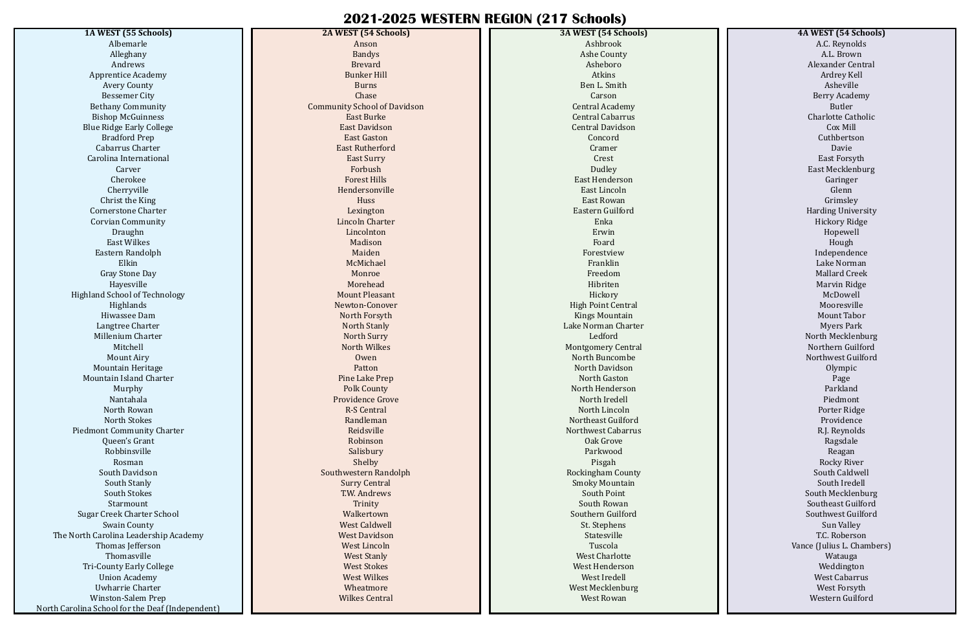## **2021-2025 WESTERN REGION (217 Schools)**

**1A WEST (55 Schools)** Albemarle Alleghany Andrews Apprentice Academy Avery County Bessemer City Bethany Community Bishop McGuinness Blue Ridge Early College Bradford Prep Cabarrus Charter Carolina International Carver Cherokee Cherryville Christ the King Cornerstone Charter Corvian Community Draughn East Wilkes Eastern Randolph Elkin Gray Stone Day Hayesville Highland School of Technology Highlands Hiwassee Dam Langtree Charter Millenium Charter Mitchell Mount Airy Mountain Heritage Mountain Island Charter Murphy Nantahala North Rowan North Stokes Piedmont Community Charter Queen's Grant Robbinsville Rosman South Davidson South Stanly South Stokes Starmount Sugar Creek Charter School Swain County The North Carolina Leadership Academy Thomas Jefferson Thomasville Tri-County Early College Union Academy Uwharrie Charter Winston-Salem Prep North Carolina School for the Deaf (Independent)

**2A WEST (54 Schools)** Anson Bandys Brevard Bunker Hill Burns Chase Community School of Davidson East Burke East Davidson East Gaston East Rutherford East Surry Forbush Forest Hills Hendersonville Huss Lexington Lincoln Charter Lincolnton Madison Maiden McMichael Monroe Morehead Mount Pleasant Newton-Conover North Forsyth North Stanly North Surry North Wilkes Owen Patton Pine Lake Prep Polk County Providence Grove R-S Central Randleman Reidsville Robinson Salisbury Shelby Southwestern Randolph Surry Central T.W. Andrews **Trinity** Walkertown West Caldwell West Davidson West Lincoln West Stanly West Stokes West Wilkes Wheatmore Wilkes Central

**3A WEST (54 Schools)** Ashbrook Ashe County Asheboro Atkins Ben L. Smith Carson Central Academy Central Cabarrus Central Davidson Concord Cramer Crest Dudley East Henderson East Lincoln East Rowan Eastern Guilford Enka Erwin Foard Forestview Franklin Freedom Hibriten Hickory High Point Central Kings Mountain Lake Norman Charter Ledford Montgomery Central North Buncombe North Davidson North Gaston North Henderson North Iredell North Lincoln Northeast Guilford Northwest Cabarrus Oak Grove Parkwood Pisgah Rockingham County Smoky Mountain South Point South Rowan Southern Guilford St. Stephens Statesville Tuscola West Charlotte West Henderson West Iredell West Mecklenburg West Rowan

## **4A WEST (54 Schools)**

A.C. Reynolds A.L. Brown Alexander Central Ardrey Kell Asheville Berry Academy Butler Charlotte Catholic Cox Mill Cuthbertson Davie East Forsyth East Mecklenburg Garinger Glenn Grimsley Harding University Hickory Ridge Hopewell Hough Independence Lake Norman Mallard Creek Marvin Ridge McDowell Mooresville Mount Tabor Myers Park North Mecklenburg Northern Guilford Northwest Guilford Olympic Page Parkland Piedmont Porter Ridge Providence R.J. Reynolds Ragsdale Reagan Rocky River South Caldwell South Iredell South Mecklenburg Southeast Guilford Southwest Guilford Sun Valley T.C. Roberson Vance (Julius L. Chambers) Watauga Weddington West Cabarrus West Forsyth Western Guilford